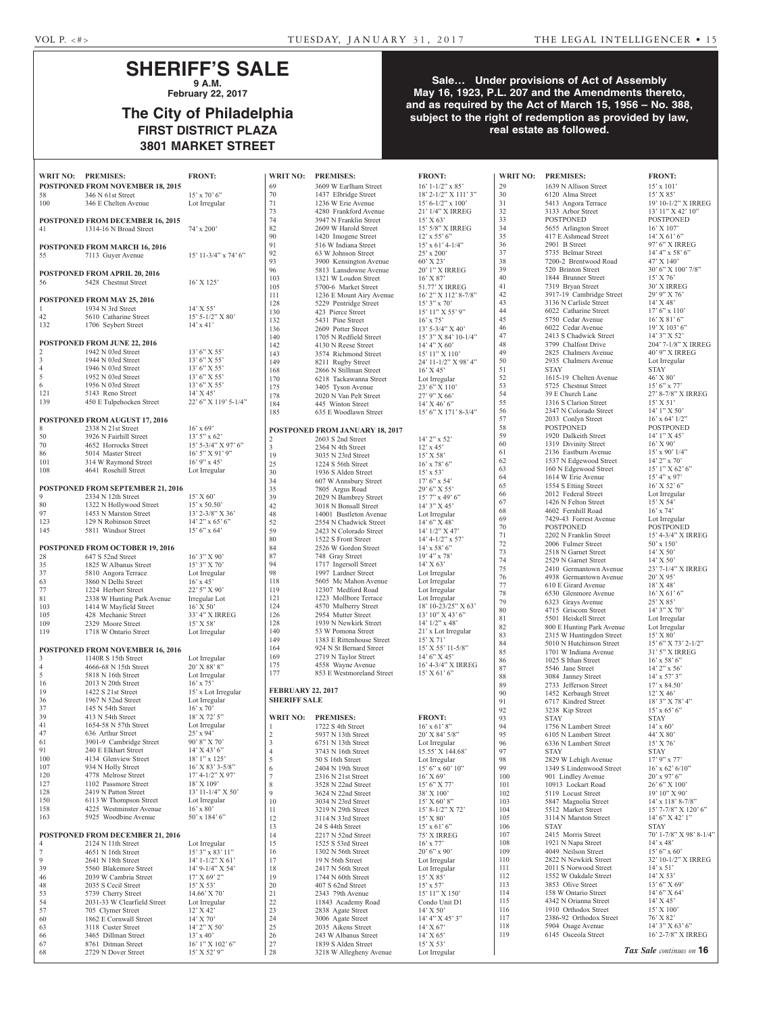#### **SHERIFF'S SALE 9 A.M.**

**February 22, 2017**

## **The City of Philadelphia FIRST DISTRICT PLAZA 3801 MARKET STREET**

#### **Sale… Under provisions of Act of Assembly May 16, 1923, P.L. 207 and the Amendments thereto, and as required by the Act of March 15, 1956 – No. 388, subject to the right of redemption as provided by law, real estate as followed.**

|                | WRIT NO: PREMISES:                           | <b>FRONT:</b>                       | <b>WRIT NO:</b>          | <b>PREMISES:</b>                             | <b>FRONT:</b>                       | <b>WRIT NO:</b> | <b>PREMISES:</b>                                | <b>FRONT:</b>               |
|----------------|----------------------------------------------|-------------------------------------|--------------------------|----------------------------------------------|-------------------------------------|-----------------|-------------------------------------------------|-----------------------------|
|                | <b>POSTPONED FROM NOVEMBER 18, 2015</b>      |                                     | 69                       | 3609 W Earlham Street                        | $16' 1 - 1/2''$ x 85'               | 29              | 1639 N Allison Street                           | $15' \times 101$            |
| 58             | 346 N 61st Street                            | $15'$ x 70' 6"                      | 70                       | 1437 Elbridge Street                         | $18'$ 2- $1/2''$ X $111'$ 3"        | 30              | 6120 Alma Street                                | $15'$ X $85'$               |
| 100            | 346 E Chelten Avenue                         | Lot Irregular                       | 71                       | 1236 W Erie Avenue                           | $15' 6 - 1/2''$ x 100'              | 31              | 5413 Angora Terrace                             | $19'10-1/2$                 |
|                |                                              |                                     | 73                       | 4280 Frankford Avenue                        | 21' 1/4" X IRREG                    | 32              | 3133 Arbor Street                               | 13'11''X                    |
|                | <b>POSTPONED FROM DECEMBER 16, 2015</b>      |                                     | 74                       | 3947 N Franklin Street                       | 15' X 63'                           | 33              | <b>POSTPONED</b>                                | <b>POSTPO</b>               |
| 41             | 1314-16 N Broad Street                       | $74' \times 200'$                   | 82                       | 2609 W Harold Street                         | 15' 5/8" X IRREG                    | 34              | 5655 Arlington Street                           | 16' X 107                   |
|                |                                              |                                     | 90                       | 1420 Imogene Street                          | $12'$ x 55' 6"                      | 35              | 417 E Ashmead Street                            | $14'$ X 61'                 |
|                | <b>POSTPONED FROM MARCH 16, 2016</b>         |                                     | 91                       | 516 W Indiana Street                         | $15'$ x 61' 4-1/4"                  | 36              | 2901 B Street                                   | 97' 6" X I                  |
| 55             | 7113 Guyer Avenue                            | $15'$ 11-3/4" x 74' 6"              | 92                       | 63 W Johnson Street                          | $25'$ x $200'$                      | 37              | 5735 Belmar Street                              | 14' 4''  x 5                |
|                |                                              |                                     | 93                       | 3900 Kensington Avenue                       | 60' X 23'                           | 38              | 7200-2 Brentwood Road                           | 47' X 140                   |
|                | POSTPONED FROM APRIL 20, 2016                |                                     | 96                       | 5813 Lansdowne Avenue                        | 20' 1" X IRREG                      | 39              | 520 Brinton Street                              | $30'6''$ X                  |
| 56             | 5428 Chestnut Street                         | $16'$ X $125'$                      | 103                      | 1321 W Loudon Street                         | $16'$ X 87'                         | 40              | 1844 Brunner Street                             | $15'$ X 76'                 |
|                |                                              |                                     | 105                      | 5700-6 Market Street                         | 51.77' X IRREG                      | 41              | 7319 Bryan Street                               | 30' X IRF                   |
|                | <b>POSTPONED FROM MAY 25, 2016</b>           |                                     | 111                      | 1236 E Mount Airy Avenue                     | 16' 2" X 112' 8-7/8"                | 42              | 3917-19 Cambridge Street                        | 29' 9" X                    |
|                | 1934 N 3rd Street                            | $14'$ X 55'                         | 128                      | 5229 Pentridge Street                        | $15'3''$ x 70'                      | 43              | 3136 N Carlisle Street                          | $14'$ X 48'                 |
| 42             | 5610 Catharine Street                        | $15'$ 5-1/2" X 80"                  | 130                      | 423 Pierce Street                            | $15'$ $11''$ X $55'$ 9"             | 44              | 6022 Catharine Street                           | $17'6''$ x 1                |
| 132            | 1706 Seybert Street                          | $14'$ x 41'                         | 132                      | 5431 Pine Street                             | $16'$ x 75'                         | 45              | 5750 Cedar Avenue                               | $16'$ X $81'$               |
|                |                                              |                                     | 136                      | 2609 Potter Street                           | $13'$ 5-3/4" X 40"                  | 46<br>47        | 6022 Cedar Avenue<br>2413 S Chadwick Street     | 19' X 103<br>$14'3''X$ :    |
|                | <b>POSTPONED FROM JUNE 22, 2016</b>          |                                     | 140<br>142               | 1705 N Redfield Street                       | 15' 3" X 84' 10-1/4"                | 48              | 3799 Chalfont Drive                             | $204'7 - 1/8$               |
| $\overline{c}$ | 1942 N 03rd Street                           | $13'6''$ X 55'                      | 143                      | 4130 N Reese Street<br>3574 Richmond Street  | 14' 4'' X 60'<br>$15'11''$ X $110'$ | 49              | 2825 Chalmers Avenue                            | $40'$ 9" X 1                |
| $\mathfrak{Z}$ | 1944 N 03rd Street                           | $13'6''$ X 55'                      | 149                      | 8211 Rugby Street                            | 24' 11-1/2" X 98' 4"                | 50              | 2935 Chalmers Avenue                            | Lot Irregu                  |
| $\overline{4}$ | 1946 N 03rd Street                           | $13'6''$ X 55'                      | 168                      | 2866 N Stillman Street                       | $16'$ X 45'                         | 51              | <b>STAY</b>                                     | <b>STAY</b>                 |
| 5              | 1952 N 03rd Street                           | $13'6''$ X 55'                      | 170                      | 6218 Tackawanna Street                       | Lot Irregular                       | 52              | 1615-19 Chelten Avenue                          | 46' X 80'                   |
| 6              | 1956 N 03rd Street                           | $13'6''$ X 55'                      | 175                      | 3405 Tyson Avenue                            | 23' 6" X 110'                       | 53              | 5725 Chestnut Street                            | $15'6''$ x 7                |
| 121            | 5143 Reno Street                             | $14'$ X 45'                         | 178                      | 2020 N Van Pelt Street                       | 27' 9" X 66'                        | 54              | 39 E Church Lane                                | $27' 8 - 7/8'$              |
| 139            | 450 E Tulpehocken Street                     | $22'$ 6" X 119' 5-1/4"              | 184                      | 445 Winton Street                            | $14'$ X 46' 6"                      | 55              | 1316 S Clarion Street                           | $15'$ X 51'                 |
|                |                                              |                                     | 185                      | 635 E Woodlawn Street                        | 15' 6" X 171' 8-3/4"                | 56              | 2347 N Colorado Street                          | $14'1''X$ :                 |
|                | <b>POSTPONED FROM AUGUST 17, 2016</b>        |                                     |                          |                                              |                                     | 57              | 2033 Conlyn Street                              | $16'$ x 64'                 |
| 8              | 2338 N 21st Street                           | $16'$ x 69'                         |                          | POSTPONED FROM JANUARY 18, 2017              |                                     | 58              | <b>POSTPONED</b>                                | <b>POSTPO</b>               |
| 50             | 3926 N Fairhill Street                       | $13'5''$ x 62'                      | 2                        | 2603 S 2nd Street                            | $14'$ 2" x 52'                      | 59              | 1920 Dalkeith Street                            | $14'1''$ X $4$              |
| 70             | 4652 Horrocks Street                         | $15'$ 5-3/4" X 97' 6"               | 3                        | 2364 N 4th Street                            | $12'$ x 45'                         | 60              | 1319 Divinity Street                            | $16'$ X 90'                 |
| 86             | 5014 Master Street                           | $16'$ 5" X 91' 9"                   | 19                       | 3035 N 23rd Street                           | $15'$ X 58'                         | 61              | 2136 Eastburn Avenue                            | $15'$ x 90'                 |
| 101            | 314 W Raymond Street                         | $16'$ 9" x 45"                      | 25                       | 1224 S 56th Street                           | $16'$ x 78' 6"                      | 62              | 1537 N Edgewood Street                          | $14'$ 2" x 7                |
| 108            | 4641 Rosehill Street                         | Lot Irregular                       | 30                       | 1936 S Alden Street                          | $15'$ x 53'                         | 63              | 160 N Edgewood Street                           | $15'1''$ X (                |
|                |                                              |                                     | 34                       | 607 W Annsbury Street                        | $17'6''$ x 54'                      | 64              | 1614 W Erie Avenue                              | 15' 4'' x 9                 |
|                | <b>POSTPONED FROM SEPTEMBER 21, 2016</b>     |                                     | 35                       | 7805 Argus Road                              | 29' 6" X 55'                        | 65              | 1554 S Etting Street                            | $16'$ X 52'                 |
| 9              | 2334 N 12th Street                           | 15' X 60'                           | 39                       | 2029 N Bambrey Street                        | $15'$ 7" x 49' 6"                   | 66<br>67        | 2012 Federal Street<br>1426 N Felton Street     | Lot Irregu<br>$15'$ X 54'   |
| 80             | 1322 N Hollywood Street                      | $15'$ x 50.50'                      | 42                       | 3018 N Bonsall Street                        | $14'3''$ X 45'                      | 68              | 4602 Fernhill Road                              | $16'$ x $74'$               |
| 97             | 1453 N Marston Street                        | $13'$ 2-3/8" X 36'                  | 48                       | 14001 Bustleton Avenue                       | Lot Irregular                       | 69              | 7429-43 Forrest Avenue                          | Lot Irregu                  |
| 123            | 129 N Robinson Street                        | $14'$ 2" x 65' 6"                   | 52                       | 2554 N Chadwick Street                       | $14'6''$ X 48'                      | 70              | <b>POSTPONED</b>                                | <b>POSTPO</b>               |
| 145            | 5811 Windsor Street                          | $15'6''$ x 64'                      | 59                       | 2423 N Colorado Street                       | $14'$ $1/2''$ X $47'$               | 71              | 2202 N Franklin Street                          | $15'$ 4-3/4'                |
|                |                                              |                                     | 80                       | 1522 S Front Street                          | $14' 4 - 1/2''$ x 57'               | 72              | 2006 Fulmer Street                              | 50' x 150                   |
|                | POSTPONED FROM OCTOBER 19, 2016              |                                     | 84                       | 2526 W Gordon Street                         | $14'$ x 58' 6"                      | 73              | 2518 N Garnet Street                            | $14'$ X 50'                 |
| 28             | 647 S 52nd Street                            | $16'3''$ X 90'                      | 87<br>94                 | 748 Gray Street                              | $19'4''$ x 78'                      | 74              | 2529 N Garnet Street                            | 14' X 50'                   |
| 35             | 1825 W Albanus Street                        | $15'3''$ X 70'                      | 98                       | 1717 Ingersoll Street<br>1997 Lardner Street | $14'$ X 63'                         | 75              | 2410 Germantown Avenue                          | $23'7 - 1/4'$               |
| 37             | 5810 Angora Terrace<br>3860 N Delhi Street   | Lot Irregular                       | 118                      | 5605 Mc Mahon Avenue                         | Lot Irregular                       | 76              | 4938 Germantown Avenue                          | 20' X 95'                   |
| 63<br>$77\,$   | 1224 Herbert Street                          | $16'$ x 45'<br>22' 5" X 90'         | 119                      | 12307 Medford Road                           | Lot Irregular<br>Lot Irregular      | 77              | 610 E Girard Avenue                             | 18' X 48'                   |
| 81             | 2338 W Hunting Park Avenue                   | Irregular Lot                       | 121                      | 1223 Mollbore Terrace                        | Lot Irregular                       | 78              | 6530 Glenmore Avenue                            | $16'$ X 61'                 |
| 103            | 1414 W Mayfield Street                       | $16'$ X 50'                         | 124                      | 4570 Mulberry Street                         | 18' 10-23/25" X 63'                 | 79              | 6323 Grays Avenue                               | 25' X 85'                   |
| 105            | 428 Mechanic Street                          | 33' 4" X IRREG                      | 126                      | 2954 Mutter Street                           | 13' 10" X 43' 6"                    | 80              | 4715 Griscom Street                             | $14'3''$ X                  |
| 109            | 2329 Moore Street                            | 15' X 58'                           | 128                      | 1939 N Newkirk Street                        | $14'$ $1/2''$ x $48'$               | 81              | 5501 Heiskell Street                            | Lot Irregu                  |
| 119            | 1718 W Ontario Street                        | Lot Irregular                       | 140                      | 53 W Pomona Street                           | 21' x Lot Irregular                 | 82              | 800 E Hunting Park Avenue                       | Lot Irregu                  |
|                |                                              |                                     | 149                      | 1383 E Rittenhouse Street                    | $15'$ X 71'                         | 83              | 2315 W Huntingdon Street                        | 15' X 80'                   |
|                | POSTPONED FROM NOVEMBER 16, 2016             |                                     | 164                      | 924 N St Bernard Street                      | $15'$ X 55' 11-5/8"                 | 84              | 5010 N Hutchinson Street                        | $15'6''$ X                  |
| 3              | 1140R S 15th Street                          | Lot Irregular                       | 169                      | 2719 N Taylor Street                         | $14'6''$ X 45'                      | 85<br>86        | 1701 W Indiana Avenue<br>1025 S Ithan Street    | $31'5''$ X I<br>$16'$ x 58' |
| $\overline{4}$ | 4666-68 N 15th Street                        | $20'$ X 88' 8"                      | 175                      | 4558 Wayne Avenue                            | 16' 4-3/4" X IRREG                  | 87              | 5546 Jane Street                                | $14'$ 2" x 5                |
| 5              | 5818 N 16th Street                           | Lot Irregular                       | 177                      | 853 E Westmoreland Street                    | $15'$ X 61' 6"                      | 88              | 3084 Janney Street                              | $14'$ x 57'                 |
| 16             | 2013 N 20th Street                           | $16'$ x 75'                         |                          |                                              |                                     | 89              | 2733 Jefferson Street                           | $17'$ x 84.5                |
| 19             | 1422 S 21st Street                           | 15' x Lot Irregular                 | <b>FEBRUARY 22, 2017</b> |                                              |                                     | 90              | 1452 Kerbaugh Street                            | $12'$ X 46'                 |
| 36             | 1967 N 52nd Street                           | Lot Irregular                       | <b>SHERIFF SALE</b>      |                                              |                                     | 91              | 6717 Kindred Street                             | 18'3'' X'                   |
| 37             | 145 N 54th Street                            | $16'$ x $70'$                       |                          |                                              |                                     | 92              | 3238 Kip Street                                 | $15' \times 65'$            |
| 39             | 413 N 54th Street                            | 18' X 72' 5"                        | <b>WRIT NO:</b>          | <b>PREMISES:</b>                             | <b>FRONT:</b>                       | 93              | <b>STAY</b>                                     | STAY                        |
| 41             | 1654-58 N 57th Street                        | Lot Irregular                       | -1                       | 1722 S 4th Street                            | $16'$ x 61' 8"                      | 94              | 1756 N Lambert Street                           | $14' \times 60'$            |
| 47             | 636 Arthur Street                            | $25'$ x 94'                         | 2                        | 5937 N 13th Street                           | $20'$ X 84' 5/8"                    | 95              | 6105 N Lambert Street                           | 44' X 80'                   |
| 61             | 3901-9 Cambridge Street                      | 90' 8" X 70'                        | $\overline{3}$           | 6751 N 13th Street                           | Lot Irregular                       | 96              | 6336 N Lambert Street                           | 15' X 76'                   |
| 91             | 240 E Elkhart Street                         | $14'$ X 43' 6"                      | $\overline{4}$           | 3743 N 16th Street                           | 15.55' X 144.68'                    | 97              | <b>STAY</b>                                     | STAY                        |
| 100<br>107     | 4134 Glenview Street<br>934 N Holly Street   | 18' 1" x 125'<br>$16'$ X 83' 3-5/8" | 5                        | 50 S 16th Street                             | Lot Irregular                       | 98              | 2829 W Lehigh Avenue                            | $17'9''$ x 7                |
| 120            | 4778 Melrose Street                          | $17' 4 - 1/2'' X 97'$               | 6                        | 2404 N 19th Street                           | $15'6''$ x 60' 10"                  | 99              | 1349 S Lindenwood Street                        | $16'$ x 62'                 |
| 127            | 1102 Passmore Street                         | $18'$ X $109'$                      | 7<br>8                   | 2316 N 21st Street                           | $16'$ X 69'                         | 100<br>101      | 901 Lindley Avenue                              | $20'$ x 97'<br>26' 6'' X    |
| 128            | 2419 N Patton Street                         | $13' 11 - 1/4'' X 50'$              | 9                        | 3528 N 22nd Street<br>3624 N 22nd Street     | $15'6''$ X 77'<br>38' X 100'        | 102             | 10913 Lockart Road<br>5119 Locust Street        | 19'10'' X                   |
| 150            | 6113 W Thompson Street                       | Lot Irregular                       | 10                       | 3034 N 23rd Street                           | $15'$ X 60' 8"                      | 103             | 5847 Magnolia Street                            | $14' \times 118'$           |
| 158            | 4225 Westminster Avenue                      | $16'$ x 80'                         | 11                       | 3219 N 29th Street                           | $15' 8 - 1/2''  X 72'$              | 104             | 5512 Market Street                              | $15'$ 7-7/8'                |
| 163            | 5925 Woodbine Avenue                         | $50'$ x 184' 6"                     | 12                       | 3114 N 33rd Street                           | $15'$ X $80'$                       | 105             | 3114 N Marston Street                           | $14'6''$ X                  |
|                |                                              |                                     | 13                       | 24 S 44th Street                             | $15'$ x 61' 6"                      | 106             | <b>STAY</b>                                     | STAY                        |
|                | <b>POSTPONED FROM DECEMBER 21, 2016</b>      |                                     | 14                       | 2217 N 52nd Street                           | 75' X IRREG                         | 107             | 2415 Morris Street                              | $70'$ 1-7/8'                |
| $\overline{4}$ | 2124 N 11th Street                           | Lot Irregular                       | 15                       | 1525 S 53rd Street                           | $16'$ x $77'$                       | 108             | 1921 N Napa Street                              | $14'$ x 48'                 |
| 7              | 4651 N 16th Street                           | $15'3''$ x 83' $11''$               | 16                       | 1302 N 56th Street                           | $20'6''$ x 90'                      | 109             | 4049 Neilson Street                             | $15'6''$ x 6                |
| $\overline{9}$ | 2641 N 18th Street                           | $14' 1 - 1/2''$ X 61'               | 17                       | 19 N 56th Street                             | Lot Irregular                       | 110             | 2822 N Newkirk Street                           | $32'10-1/2$                 |
| 39             | 5560 Blakemore Street                        | $14'$ 9-1/4" X 54'                  | 18                       | 2417 N 56th Street                           | Lot Irregular                       | 111             | 2011 S Norwood Street                           | $14' \times 51'$            |
| 46             | 2039 W Cambria Street                        | 17' X 69' 2"                        | 19                       | 1744 N 60th Street                           | 15' X 85'                           | 112             | 1552 W Oakdale Street                           | $14'$ X 53'                 |
| 48             | 2035 S Cecil Street                          | $15'$ X 53'                         | 20                       | 407 S 62nd Street                            | $15'$ x 57'                         | 113             | 3853 Olive Street                               | $13'6''$ X (                |
| 53             | 5739 Cherry Street                           | $14.66'$ X 70'                      | $21\,$                   | 2343 79th Avenue                             | 15' 11" X 150'                      | 114             | 158 W Ontario Street                            | $14'6''$ X (                |
| 54             | 2031-33 W Clearfield Street                  | Lot Irregular                       | 22                       | 11843 Academy Road                           | Condo Unit D1                       | 115             | 4342 N Orianna Street                           | $14'$ X 45'                 |
| 57             | 705 Clymer Street                            | 12'X42'                             | 23                       | 2838 Agate Street                            | $14'$ X 50'                         | 116<br>117      | 1910 Orthodox Street<br>2386-92 Orthodox Street | 15' X 100<br>76' X 82'      |
| 60             | 1862 E Cornwall Street<br>3118 Custer Street | 14' X 70'                           | 24                       | 3006 Agate Street<br>2035 Aikens Street      | 14' 4" X 45' 3"                     | 118             | 5904 Osage Avenue                               | 14' 3" X 6                  |
| 63<br>66       | 3465 Dillman Street                          | $14'$ 2" X 50'<br>$13' \times 40'$  | 25<br>26                 | 243 W Albanus Street                         | $14'$ X 67'<br>$14'$ X 65'          | 119             | 6145 Osceola Street                             | $16'$ 2-7/8'                |
| 67             | 8761 Ditman Street                           | 16' 1" X 102' 6"                    | 27                       | 1839 S Alden Street                          | $15'$ X 53'                         |                 |                                                 |                             |
|                |                                              |                                     |                          |                                              |                                     |                 |                                                 |                             |

68 2729 N Dover Street 15' X 52' 9"

| <b>WRIT NO:</b>                                 | <b>PREMISES:</b>                                | <b>FRONT:</b>                             |  |  |  |  |
|-------------------------------------------------|-------------------------------------------------|-------------------------------------------|--|--|--|--|
| 69                                              | 3609 W Earlham Street                           | $16'$ 1-1/2" x 85'                        |  |  |  |  |
| 70                                              | 1437 Elbridge Street                            | 18' 2-1/2" X 111' 3"                      |  |  |  |  |
| 71                                              | 1236 W Erie Avenue                              | $15' 6 - 1/2''$ x $100'$                  |  |  |  |  |
| 73                                              | 4280 Frankford Avenue                           | 21' 1/4" X IRREG                          |  |  |  |  |
| 74<br>82                                        | 3947 N Franklin Street<br>2609 W Harold Street  | 15' X 63'<br>15' 5/8" X IRREG             |  |  |  |  |
| 90                                              | 1420 Imogene Street                             | $12'$ x 55' 6"                            |  |  |  |  |
| 91                                              | 516 W Indiana Street                            | $15'$ x 61' 4-1/4"                        |  |  |  |  |
| 92                                              | 63 W Johnson Street                             | $25'$ x $200'$                            |  |  |  |  |
| 93                                              | 3900 Kensington Avenue                          | 60' X 23'<br>20' 1" X IRREG               |  |  |  |  |
| 96<br>103                                       | 5813 Lansdowne Avenue<br>1321 W Loudon Street   | $16'$ X $87'$                             |  |  |  |  |
| 105                                             | 5700-6 Market Street                            | 51.77' X IRREG                            |  |  |  |  |
| 111                                             | 1236 E Mount Airy Avenue                        | 16' 2" X 112' 8-7/8"                      |  |  |  |  |
| 128                                             | 5229 Pentridge Street                           | $15'3''$ x 70'                            |  |  |  |  |
| 130<br>132                                      | 423 Pierce Street<br>5431 Pine Street           | 15' 11" X 55' 9"<br>$16'$ x 75'           |  |  |  |  |
| 136                                             | 2609 Potter Street                              | $13'$ 5-3/4" X 40'                        |  |  |  |  |
| 140                                             | 1705 N Redfield Street                          | 15' 3" X 84' 10-1/4"                      |  |  |  |  |
| 142                                             | 4130 N Reese Street                             | 14' 4'' X 60'                             |  |  |  |  |
| 143                                             | 3574 Richmond Street                            | 15' 11" X 110'                            |  |  |  |  |
| 149<br>168                                      | 8211 Rugby Street<br>2866 N Stillman Street     | 24' 11-1/2" X 98' 4"<br>$16'$ X 45'       |  |  |  |  |
| 170                                             | 6218 Tackawanna Street                          | Lot Irregular                             |  |  |  |  |
| 175                                             | 3405 Tyson Avenue                               | 23' 6" X 110'                             |  |  |  |  |
| 178                                             | 2020 N Van Pelt Street                          | 27' 9" X 66'                              |  |  |  |  |
| 184                                             | 445 Winton Street                               | 14' X 46' 6"                              |  |  |  |  |
| 185                                             | 635 E Woodlawn Street                           | 15' 6" X 171' 8-3/4"                      |  |  |  |  |
|                                                 | POSTPONED FROM JANUARY 18, 2017                 |                                           |  |  |  |  |
| 2                                               | 2603 S 2nd Street                               | 14' 2" x 52'                              |  |  |  |  |
| 3                                               | 2364 N 4th Street                               | $12'$ x 45'                               |  |  |  |  |
| 19<br>25                                        | 3035 N 23rd Street<br>1224 S 56th Street        | 15' X 58'<br>$16'$ x 78' 6"               |  |  |  |  |
| 30                                              | 1936 S Alden Street                             | $15' \times 53'$                          |  |  |  |  |
| 34                                              | 607 W Annsbury Street                           | $17'6''$ x 54'                            |  |  |  |  |
| 35                                              | 7805 Argus Road                                 | 29' 6" X 55'                              |  |  |  |  |
| 39                                              | 2029 N Bambrey Street                           | $15'$ 7" x 49' 6"                         |  |  |  |  |
| 42<br>48                                        | 3018 N Bonsall Street<br>14001 Bustleton Avenue | $14'3''$ X 45'<br>Lot Irregular           |  |  |  |  |
| 52                                              | 2554 N Chadwick Street                          | $14'6''$ X 48'                            |  |  |  |  |
| 59                                              | 2423 N Colorado Street                          | 14' 1/2" X 47'                            |  |  |  |  |
| 80                                              | 1522 S Front Street                             | 14' 4-1/2" x 57'                          |  |  |  |  |
| 84                                              | 2526 W Gordon Street                            | $14'$ x 58' 6"                            |  |  |  |  |
| 87<br>94                                        | 748 Gray Street<br>1717 Ingersoll Street        | 19' 4" x 78'<br>$14'$ X 63'               |  |  |  |  |
| 98                                              | 1997 Lardner Street                             | Lot Irregular                             |  |  |  |  |
| 118                                             | 5605 Mc Mahon Avenue                            | Lot Irregular                             |  |  |  |  |
| 119                                             | 12307 Medford Road                              | Lot Irregular                             |  |  |  |  |
| 121                                             | 1223 Mollbore Terrace                           | Lot Irregular                             |  |  |  |  |
| 124<br>126                                      | 4570 Mulberry Street<br>2954 Mutter Street      | 18' 10-23/25" X 63'<br>$13'$ 10" X 43' 6" |  |  |  |  |
| 128                                             | 1939 N Newkirk Street                           | $14'$ $1/2''$ x $48'$                     |  |  |  |  |
| 140                                             | 53 W Pomona Street                              | 21' x Lot Irregular                       |  |  |  |  |
| 149                                             | 1383 E Rittenhouse Street                       | $15'$ X 71'                               |  |  |  |  |
| 164                                             | 924 N St Bernard Street                         | 15' X 55' 11-5/8"                         |  |  |  |  |
| 169<br>175                                      | 2719 N Taylor Street<br>4558 Wayne Avenue       | $14'6''$ X 45'<br>16' 4-3/4" X IRREG      |  |  |  |  |
| 177                                             | 853 E Westmoreland Street                       | $15'$ X 61' 6"                            |  |  |  |  |
|                                                 |                                                 |                                           |  |  |  |  |
| <b>FEBRUARY 22, 2017</b><br><b>SHERIFF SALE</b> |                                                 |                                           |  |  |  |  |
|                                                 |                                                 |                                           |  |  |  |  |
| WRIT NO:                                        | <b>PREMISES:</b>                                | <b>FRONT:</b>                             |  |  |  |  |
| 1<br>2                                          | 1722 S 4th Street<br>5937 N 13th Street         | $16'$ x 61' 8"<br>20' X 84' 5/8"          |  |  |  |  |
| 3                                               | 6751 N 13th Street                              | Lot Irregular                             |  |  |  |  |
| 4                                               | 3743 N 16th Street                              | 15.55' X 144.68'                          |  |  |  |  |
| 5                                               | 50 S 16th Street                                | Lot Irregular                             |  |  |  |  |
| 6                                               | 2404 N 19th Street                              | $15'$ 6" x 60' 10"                        |  |  |  |  |
| 7                                               | 2316 N 21st Street<br>3528 N 22nd Street        | $16'$ X 69'                               |  |  |  |  |
| 8<br>9                                          | 3624 N 22nd Street                              | $15'6''$ X 77'<br>38' X 100'              |  |  |  |  |
| 10                                              | 3034 N 23rd Street                              | 15' X 60' 8"                              |  |  |  |  |
| 11                                              | 3219 N 29th Street                              | 15' 8-1/2" X 72'                          |  |  |  |  |
| 12                                              | 3114 N 33rd Street                              | $15'$ X $80'$                             |  |  |  |  |
| 13<br>14                                        | 24 S 44th Street<br>2217 N 52nd Street          | $15'$ x 61' 6"<br>75' X IRREG             |  |  |  |  |
| 15                                              | 1525 S 53rd Street                              | $16'$ x $77'$                             |  |  |  |  |
| 16                                              | 1302 N 56th Street                              | $20'6''$ x 90'                            |  |  |  |  |
| 17                                              | 19 N 56th Street                                | Lot Irregular                             |  |  |  |  |
| 18                                              | 2417 N 56th Street                              | Lot Irregular                             |  |  |  |  |
| 19<br>20                                        | 1744 N 60th Street<br>407 S 62nd Street         | 15' X 85'<br>$15' \times 57'$             |  |  |  |  |
| 21                                              | 2343 79th Avenue                                | 15' 11" X 150'                            |  |  |  |  |
| 22                                              | 11843 Academy Road                              | Condo Unit D1                             |  |  |  |  |
| 23                                              | 2838 Agate Street                               | $14'$ X 50'                               |  |  |  |  |
| 24                                              | 3006 Agate Street                               | 14' 4" X 45' 3"                           |  |  |  |  |

26 243 W Albanus Street 14' X 65'<br>27 1839 S Alden Street 15' X 53' 27 1839 S Alden Street 15' X 53'<br>28 3218 W Allegheny Avenue Lot Irregular 3218 W Allegheny Avenue

| <b>WRIT NO:</b>          | <b>PREMISES:</b>                                | <b>FRONT:</b>                          |
|--------------------------|-------------------------------------------------|----------------------------------------|
| 69                       | 3609 W Earlham Street                           | $16' 1 - 1/2''$ x 85'                  |
| 70                       | 1437 Elbridge Street                            | 18' 2-1/2" X 111' 3"                   |
| 71                       | 1236 W Erie Avenue                              | $15' 6 - 1/2''$ x 100'                 |
| 73<br>74                 | 4280 Frankford Avenue<br>3947 N Franklin Street | 21' 1/4" X IRREG<br>15' X 63'          |
| 82                       | 2609 W Harold Street                            | 15' 5/8" X IRREG                       |
| 90                       | 1420 Imogene Street                             | $12'$ x 55' 6"                         |
| 91                       | 516 W Indiana Street                            | $15'$ x 61' 4-1/4"                     |
| 92                       | 63 W Johnson Street                             | $25'$ x $200'$                         |
| 93                       | 3900 Kensington Avenue                          | 60' X 23'                              |
| 96                       | 5813 Lansdowne Avenue                           | 20' 1" X IRREG                         |
| 103                      | 1321 W Loudon Street<br>5700-6 Market Street    | $16'$ X $87'$                          |
| 105<br>111               | 1236 E Mount Airy Avenue                        | 51.77' X IRREG<br>16' 2" X 112' 8-7/8" |
| 128                      | 5229 Pentridge Street                           | $15'3''$ x 70'                         |
| 130                      | 423 Pierce Street                               | 15' 11" X 55' 9"                       |
| 132                      | 5431 Pine Street                                | $16'$ x 75'                            |
| 136                      | 2609 Potter Street                              | 13' 5-3/4" X 40'                       |
| 140                      | 1705 N Redfield Street                          | 15' 3" X 84' 10-1/4"                   |
| 142<br>143               | 4130 N Reese Street<br>3574 Richmond Street     | 14' 4'' X 60'<br>15' 11" X 110'        |
| 149                      | 8211 Rugby Street                               | 24' 11-1/2" X 98' 4"                   |
| 168                      | 2866 N Stillman Street                          | 16' X 45'                              |
| 170                      | 6218 Tackawanna Street                          | Lot Irregular                          |
| 175                      | 3405 Tyson Avenue                               | 23' 6" X 110'                          |
| 178                      | 2020 N Van Pelt Street                          | 27' 9" X 66'                           |
| 184                      | 445 Winton Street                               | $14'$ X 46' 6"                         |
| 185                      | 635 E Woodlawn Street                           | 15' 6" X 171' 8-3/4"                   |
|                          | POSTPONED FROM JANUARY 18, 2017                 |                                        |
| 2                        | 2603 S 2nd Street                               | $14'$ 2" x 52"                         |
| 3                        | 2364 N 4th Street                               | $12'$ x 45'                            |
| 19                       | 3035 N 23rd Street                              | 15' X 58'                              |
| 25                       | 1224 S 56th Street                              | $16'$ x 78' 6"                         |
| 30                       | 1936 S Alden Street                             | $15' \times 53'$                       |
| 34                       | 607 W Annsbury Street                           | $17'6''$ x 54'                         |
| 35<br>39                 | 7805 Argus Road<br>2029 N Bambrey Street        | 29' 6" X 55'<br>$15'7''$ x 49' 6"      |
| 42                       | 3018 N Bonsall Street                           | 14' 3" X 45'                           |
| 48                       | 14001 Bustleton Avenue                          | Lot Irregular                          |
| 52                       | 2554 N Chadwick Street                          | $14^\circ\,6^\circ$ X $48^\circ$       |
| 59                       | 2423 N Colorado Street                          | $14'$ $1/2''$ X $47'$                  |
| 80                       | 1522 S Front Street                             | $14' 4 - 1/2''$ x 57'                  |
| 84                       | 2526 W Gordon Street                            | $14'$ x 58' 6"                         |
| 87<br>94                 | 748 Gray Street                                 | $19' 4''$ x 78'                        |
| 98                       | 1717 Ingersoll Street<br>1997 Lardner Street    | $14'$ X 63'<br>Lot Irregular           |
| 118                      | 5605 Mc Mahon Avenue                            | Lot Irregular                          |
| 119                      | 12307 Medford Road                              | Lot Irregular                          |
| 121                      | 1223 Mollbore Terrace                           | Lot Irregular                          |
| 124                      | 4570 Mulberry Street                            | 18' 10-23/25" X 63'                    |
| 126                      | 2954 Mutter Street                              | 13' 10" X 43' 6"                       |
| 128                      | 1939 N Newkirk Street                           | $14'$ $1/2$ " x $48'$                  |
| 140<br>149               | 53 W Pomona Street<br>1383 E Rittenhouse Street | 21' x Lot Irregular<br>$15'$ X 71'     |
| 164                      | 924 N St Bernard Street                         | 15' X 55' 11-5/8"                      |
| 169                      | 2719 N Taylor Street                            | 14' 6" X 45'                           |
| 175                      | 4558 Wayne Avenue                               | 16' 4-3/4" X IRREG                     |
| 177                      | 853 E Westmoreland Street                       | $15'$ X 61' 6"                         |
| <b>FEBRUARY 22, 2017</b> |                                                 |                                        |
| <b>SHERIFF SALE</b>      |                                                 |                                        |
|                          |                                                 |                                        |
| <b>WRIT NO:</b>          | <b>PREMISES:</b>                                | <b>FRONT:</b>                          |
| 1                        | 1722 S 4th Street                               | $16'$ x 61' 8"                         |
| 2                        | 5937 N 13th Street                              | $20'$ X 84' $5/8"$                     |
| 3<br>4                   | 6751 N 13th Street<br>3743 N 16th Street        | Lot Irregular<br>15.55' X 144.68'      |
| 5                        | 50 S 16th Street                                | Lot Irregular                          |
| 6                        | 2404 N 19th Street                              | 15' 6" x 60' 10"                       |
| 7                        | 2316 N 21st Street                              | $16'$ X 69'                            |
| 8                        | 3528 N 22nd Street                              | $15'6''$ X 77'                         |
| 9                        | 3624 N 22nd Street                              | 38' X 100'                             |
| 10                       | 3034 N 23rd Street                              | $15'$ X 60' 8"                         |
| 11<br>12                 | 3219 N 29th Street<br>3114 N 33rd Street        | 15' 8-1/2" X 72'                       |
| 13                       | 24 S 44th Street                                | $15'$ X $80'$<br>$15'$ x 61' 6"        |
| 14                       | 2217 N 52nd Street                              | 75' X IRREG                            |
| 15                       | 1525 S 53rd Street                              | $16'$ x $77'$                          |
| 16                       | 1302 N 56th Street                              | $20'6''$ x 90'                         |
| 17                       | 19 N 56th Street                                | Lot Irregular                          |
| 18                       | 2417 N 56th Street                              | Lot Irregular                          |
| 19<br>20                 | 1744 N 60th Street<br>407 S 62nd Street         | $15'$ X $85'$                          |
| 21                       | 2343 79th Avenue                                | $15'$ x 57'<br>$15'$ $11''$ X $150'$   |
| 22                       | 11843 Academy Road                              | Condo Unit D1                          |
| 23                       | 2838 Agate Street                               | $14'$ X 50'                            |
| 24                       | 3006 Agate Street                               | 14' 4" X 45' 3"                        |
|                          |                                                 |                                        |
| 25<br>26                 | 2035 Aikens Street<br>243 W Albanus Street      | $14'$ X 67'<br>$14'$ X 65'             |

| <b>WRIT NO:</b> | <b>PREMISES:</b>                                     | <b>FRONT:</b>                                           |
|-----------------|------------------------------------------------------|---------------------------------------------------------|
| 29              | 1639 N Allison Street                                | $15'$ x $101'$                                          |
| 30<br>31        | 6120 Alma Street                                     | $15'$ X $85'$<br>19' 10-1/2" X IRREG                    |
| 32              | 5413 Angora Terrace<br>3133 Arbor Street             | 13' 11" X 42' 10"                                       |
| 33              | <b>POSTPONED</b>                                     | <b>POSTPONED</b>                                        |
| 34              | 5655 Arlington Street                                | $16'$ X $107'$                                          |
| 35              | 417 E Ashmead Street<br>2901 B Street                | $14'$ X 61' 6"                                          |
| 36<br>37        | 5735 Belmar Street                                   | 97' 6" X IRREG<br>$14' 4''$ x 58' 6"                    |
| 38              | 7200-2 Brentwood Road                                | 47' X 140'                                              |
| 39              | 520 Brinton Street                                   | 30' 6" X 100' 7/8"                                      |
| 40              | 1844 Brunner Street                                  | $15'$ X 76'                                             |
| 41<br>42        | 7319 Bryan Street<br>3917-19 Cambridge Street        | 30' X IRREG<br>29' 9" X 76'                             |
| 43              | 3136 N Carlisle Street                               | $14'$ X 48'                                             |
| 44              | 6022 Catharine Street                                | $17'6''$ x $110'$                                       |
| 45              | 5750 Cedar Avenue                                    | $16'$ X $81'$ 6"                                        |
| 46<br>47        | 6022 Cedar Avenue<br>2413 S Chadwick Street          | 19' X 103' 6"<br>14' 3" X 52'                           |
| 48              | 3799 Chalfont Drive                                  | 204' 7-1/8" X IRREG                                     |
| 49              | 2825 Chalmers Avenue                                 | 40' 9" X IRREG                                          |
| 50              | 2935 Chalmers Avenue                                 | Lot Irregular                                           |
| 51<br>52        | <b>STAY</b><br>1615-19 Chelten Avenue                | <b>STAY</b><br>46' X 80'                                |
| 53              | 5725 Chestnut Street                                 | $15'6''$ x 77'                                          |
| 54              | 39 E Church Lane                                     | 27' 8-7/8" X IRREG                                      |
| 55              | 1316 S Clarion Street                                | $15'$ X 51'                                             |
| 56              | 2347 N Colorado Street                               | $14'1''$ X 50'                                          |
| 57<br>58        | 2033 Conlyn Street<br><b>POSTPONED</b>               | $16'$ x 64' $1/2$ "<br><b>POSTPONED</b>                 |
| 59              | 1920 Dalkeith Street                                 | $14'1''$ X 45'                                          |
| 60              | 1319 Divinity Street                                 | $16'$ X 90'                                             |
| 61              | 2136 Eastburn Avenue                                 | $15'$ x 90' $1/4"$                                      |
| 62<br>63        | 1537 N Edgewood Street<br>160 N Edgewood Street      | 14' 2" x 70'<br>15' 1" X 62' 6"                         |
| 64              | 1614 W Erie Avenue                                   | $15' 4''$ x 97'                                         |
| 65              | 1554 S Etting Street                                 | $16'$ X 52' 6"                                          |
| 66              | 2012 Federal Street                                  | Lot Irregular                                           |
| 67<br>68        | 1426 N Felton Street<br>4602 Fernhill Road           | 15' X 54'<br>$16'$ x $74'$                              |
| 69              | 7429-43 Forrest Avenue                               | Lot Irregular                                           |
| 70              | <b>POSTPONED</b>                                     | <b>POSTPONED</b>                                        |
| 71              | 2202 N Franklin Street                               | 15' 4-3/4" X IRREG                                      |
| 72              | 2006 Fulmer Street<br>2518 N Garnet Street           | 50' x 150'                                              |
| 73<br>74        | 2529 N Garnet Street                                 | $14'$ X 50'<br>$14'$ X 50'                              |
| 75              | 2410 Germantown Avenue                               | 23' 7-1/4" X IRREG                                      |
| 76              | 4938 Germantown Avenue                               | $20'$ X 95'                                             |
| 77              | 610 E Girard Avenue                                  | 18' X 48'                                               |
| 78<br>79        | 6530 Glenmore Avenue<br>6323 Grays Avenue            | $16^{\circ} \, \mathrm{X}$ 61' $6^{\circ}$<br>25' X 85' |
| 80              | 4715 Griscom Street                                  | 14' 3" X 70'                                            |
| 81              | 5501 Heiskell Street                                 | Lot Irregular                                           |
| 82              | 800 E Hunting Park Avenue                            | Lot Irregular                                           |
| 83<br>84        | 2315 W Huntingdon Street<br>5010 N Hutchinson Street | 15' X 80'<br>15' 6" X 73' 2-1/2"                        |
| 85              | 1701 W Indiana Avenue                                | 31' 5" X IRREG                                          |
| 86              | 1025 S Ithan Street                                  | $16^\circ$ x $58^\circ$ 6"                              |
| 87              | 5546 Jane Street                                     | 14' 2" x 56'                                            |
| 88<br>89        | 3084 Janney Street<br>2733 Jefferson Street          | 14' x 57' 3"<br>17' x 84.50'                            |
| 90              | 1452 Kerbaugh Street                                 | 12' X 46'                                               |
| 91              | 6717 Kindred Street                                  | 18' 3" X 78' 4"                                         |
| 92              | 3238 Kip Street                                      | $15'$ x 65' 6"                                          |
| 93<br>94        | <b>STAY</b><br>1756 N Lambert Street                 | <b>STAY</b><br>$14'$ x 60'                              |
| 95              | 6105 N Lambert Street                                | 44' X 80'                                               |
| 96              | 6336 N Lambert Street                                | 15' X 76'                                               |
| 97              | <b>STAY</b>                                          | <b>STAY</b>                                             |
| 98<br>99        | 2829 W Lehigh Avenue<br>1349 S Lindenwood Street     | $17'$ 9" x 77'                                          |
| 100             | 901 Lindley Avenue                                   | $16'$ x 62' 6/10"<br>$20'$ x 97' 6"                     |
| 101             | 10913 Lockart Road                                   | 26' 6" X 100'                                           |
| 102             | 5119 Locust Street                                   | 19' 10" X 90'                                           |
| 103             | 5847 Magnolia Street                                 | 14' x 118' 8-7/8"                                       |
| 104<br>105      | 5512 Market Street<br>3114 N Marston Street          | 15' 7-7/8" X 120' 6"<br>14' 6" X 42' 1"                 |
| 106             | <b>STAY</b>                                          | <b>STAY</b>                                             |
| 107             | 2415 Morris Street                                   | 70' 1-7/8" X 98' 8-1/4"                                 |
| 108             | 1921 N Napa Street                                   | $14'$ x 48'                                             |
| 109<br>110      | 4049 Neilson Street<br>2822 N Newkirk Street         | $15'6''$ x 60'<br>32' 10-1/2" X IRREG                   |
| 111             | 2011 S Norwood Street                                | $14' \times 51'$                                        |
| 112             | 1552 W Oakdale Street                                | 14' X 53'                                               |
| 113             | 3853 Olive Street                                    | $13'6''$ X 69'                                          |
| 114<br>115      | 158 W Ontario Street<br>4342 N Orianna Street        | 14' 6" X 64'<br>$14'$ X $45'$                           |
| 116             | 1910 Orthodox Street                                 | 15' X 100'                                              |
| 117             | 2386-92 Orthodox Street                              | 76' X 82'                                               |
| 118             | 5904 Osage Avenue                                    | 14' 3" X 63' 6"                                         |
| 119             | 6145 Osceola Street                                  | 16' 2-7/8" X IRREG                                      |